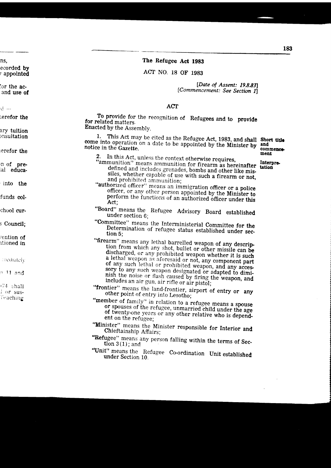## The Refugee Act 1983

# ACT NO. 18 OF 1983

[Date of Assent: 19.8.83] [Commencement: See Section 11

### ACT

To provide for the recognition of Refugees and to provide for related matters. Enacted by the Assembly.

This Act may be cited as the Refugee Act, 1983, and shall Short title 1. come into operation on a date to be appointed by the Minister by and notice in the Gazette.

- 2. In this Act, unless the context otherwise requires,<br>"ammunition" means ammunition for firearm as hereinafter<br>connected bombs and other like misdefined and includes grenades, bombs and other like missiles, whether capable of use with such a firearm or not, and prohibited ammunition;
- "authorized officer" means an immigration officer or a police officer, or any other person appointed by the Minister to perform the functions of an authorized officer under this Act:
- "Board" means the Refugee Advisory Board established under section 6:
- "Committee" means the Interministerial Committee for the Determination of refugee status established under section 5;
- "firearm" means any lethal barrelled weapon of any description from which any shot, bullet or other missile can be discharged, or any prohibited weapon whether it is such a lethal weapon as aforesaid or not, any component part of any such lethal or prohibited weapon, and any accessory to any such weapon designated or adapted to diminish the noise or flash caused by firing the weapon, and includes an air gun, air rifle or air pistol;
- "frontier" means the land-frontier, airport of entry or any other point of entry into Lesotho;
- "member of family" in relation to a refugee means a spouse or spouses of the refugee, unmarried child under the age of twenty-one years or any other relative who is dependent on the refugee:
- "Minister" means the Minister responsible for Interior and Chieftainship Affairs;
- "Refugee" means any person falling within the terms of Section  $3(1)$ ; and
- "Unit" means the Refugee Co-ordination Unit established under Section 10.

commence ment

Interpre. tation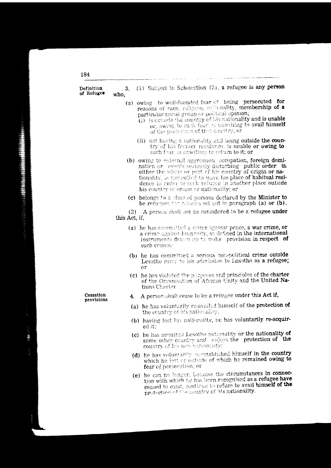| Definitio <b>n</b><br>of Refugee | 3.<br>who,    | (1) Subject to Sub-section (2), a refugee is any person                                                                                                                                                                                                                                                                                                 |
|----------------------------------|---------------|---------------------------------------------------------------------------------------------------------------------------------------------------------------------------------------------------------------------------------------------------------------------------------------------------------------------------------------------------------|
|                                  |               | (a) owing to well-founded fear of being persecuted for<br>reasons of race, religiou, nationality, membership of a<br>particular social group or political opinion;<br>(i) is outside the country of his nationality and is unable<br>or, owing to such fear, is unwilling to avail himself<br>of the protection of that country; or                     |
|                                  |               | (ii) not having a nationality and being outside the coun-<br>try of his former residence, is unable or owing to<br>such fear, is unwilling to return to it; or                                                                                                                                                                                          |
|                                  |               | (b) owing to external aggression, occupation, foreign domi-<br>nation or events seriously disturbing public order in<br>either the whole or part of his country of origin or na-<br>tionality, is compelled to teave his place of habitual resi-<br>dence in order to seek refugee in another place outside<br>his country of origin or nationality; or |
|                                  |               | (c) belongs to a class of persons declared by the Minister to<br>be refugees for reasons set out in paragraph (a) or (b).                                                                                                                                                                                                                               |
|                                  | this Act, if, | (2) A person shall not be considered to be a refugee under                                                                                                                                                                                                                                                                                              |
|                                  |               | (a) he has committed a crime against peace, a war crime, or<br>a crime against humanity, as defined in the international<br>instruments drawn op to make provision in respect of<br>such crimes:                                                                                                                                                        |
|                                  |               | (b) he has committed a serious non-political crime outside<br>Lesotho prior to his admission to Lesotho as a refugee;<br>$_{\rm cr}$                                                                                                                                                                                                                    |
|                                  |               | (c) he has violated the parposes and principles of the charter<br>of the Organisation of African Unity and the United Na-<br>tions Charter                                                                                                                                                                                                              |
| Cessation<br>provisions          | 4.            | A person shall cease to be a refugee under this Act if,                                                                                                                                                                                                                                                                                                 |
|                                  |               | (a) he has voluntarily re-availed himself of the protection of<br>the country of his nationality.                                                                                                                                                                                                                                                       |
|                                  |               | (b) having lost his nationality, he has voluntarily re-acquir-<br>ed it;                                                                                                                                                                                                                                                                                |
|                                  |               | (c) he has acquired Lesotho nationality or the nationality of<br>some other country and enjoys the protection of the<br>country of his new nationality;                                                                                                                                                                                                 |
|                                  |               | (d) he has voluntarily re-established himself in the country<br>which he left or outside of which he remained owing to<br>fear of persecution; or                                                                                                                                                                                                       |
|                                  |               | (e) he can no longer, because the circumstances in connec-<br>en regermiend as a refugee have                                                                                                                                                                                                                                                           |

÷. tion with which he has been recognised as a refugee have ceased to exist, continue to refuse to avail himself of the protection of the country of his nationality.

184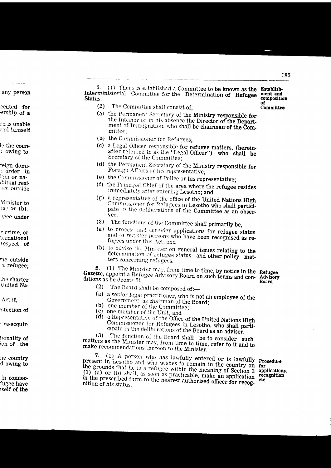5. (1) There is established a Committee to be known as the Establish-Interministerial Committee for the Determination of Refugee ment and **Status** composition of

- The Committee shall consist of.  $(2)$
- (a) the Permanent Secretary of the Ministry responsible for the Interior or in his absence the Director of the Department of Immigration, who shall be chairman of the Committee:
- (b) the Commissioner for Refugees;
- (c) a Legal Officer responsible for refugee matters, (hereinafter referred to as the "Legal Officer") who shall be Secretary of the Committee;
- (d) the Permanent Secretary of the Ministry responsible for Foreign Affairs or his representative;
- (e) the Commissioner of Police or his representative;
- (f) the Principal Chief of the area where the refugee resides immediately after entering Lesotho; and
- (g) a representative of the office of the United Nations High Commissioner for Refugees in Lesotho who shall participate in the deliberations of the Committee as an observer.
- (3) The functions of the Committee shall primarily be,
- (a) to process and consider applications for refugee status and to register persons who have been recognised as refugees under this Act; and
- (b) to advise the Minister on general issues relating to the determination of refugee status and other policy matters concerning refugees.

(1) The Minister may, from time to time, by notice in the Refugee 6. Gazette, appoint a Refugee Advisory Board on such terms and con- Advisory ditions as he deems fit.

**Board** 

- $(2)$ The Board shall be composed of:-
- (a) a senior legal practitioner, who is not an employee of the Government, as chairman of the Board;
- (b) one member of the Committee;
- (c) one member of the Unit; and
- (d) a Representative of the Office of the United Nations High Commissioner for Refugees in Lesotho, who shall participate in the deliberations of the Board as an adviser.

The function of the Board shall be to consider such  $(3)$ matters as the Minister may, from time to time, refer to it and to make recommendations thereon to the Minister.

7. (1) A person who has lawfully entered or is lawfully present in Lesotho and who wishes to remain in the country on for the grounds that he is a refugee within the meaning of Section 3 (1) (a) or (b) shall, as soon as practicable, make an application in the prescribed form to the nearest authorised officer for recognition of his status.

Procedure applications, recognition etc.

Committee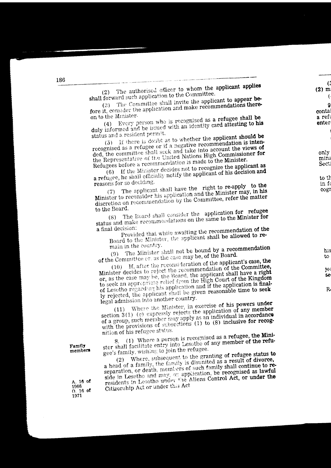The Committee shall invite the applicant to appear before it, consider the application and make recommendations thereon to the Minister.

Every person who is recognised as a refugee shall be duly informed and be issued with an identity card attesting to his status and a resident permit.

(5) If there is doubt as to whether the applicant should be recognised as a refugee or if a negative recommendation is intended, the committee shall seek and take into account the views of the Representative of the United Nations High Commissioner for Refugees before a recommendation is made to the Minister.

If the Minister decides not to recognize the applicant as a refugee, he shall officially notify the applicant of his decision and reasons for so deciding.

The applicant shall have the right to re-apply to the Minister to reconsider his application and the Minister may, in his discretion on recommendation by the Committee, refer the matter to the Board.

The Board shall consider the application for refugee status and make recommendations on the same to the Minister for a final decision:

Provided that while awaiting the recommendation of the Board to the Minister, the applicant shall be allowed to remain in the country.

The Minister shall not be bound by a recommendation of the Committee or, as the case may be, of the Board.

(10) If, after the reconsideration of the applicant's case, the Minister decides to reject the recommendation of the Committee, or, as the case may be, the Board, the applicant shall have a right to seek an appropriate relief from the High Court of the Kingdom of Lesotho regarding his application and if the application is finally rejected, the applicant shall be given reasonable time to seek legal admission into another country.

(11) Where the Minister, in exercise of his powers under section 3(1) (c) expressly rejects the application of any member of a group, such member may apply as an individual in accordance with the provisions of subsections (1) to (8) inclusive for recognition of his refugee status.

(1) Where a person is recognised as a refugee, the Minister shall facilitate entry into Lesotho of any member of the refugee's family, wishing to join the refugee.

Where, subsequent to the granting of refugee status to

a head of a family, the family is disunited as a result of divorce, separation, or death, members of such family shall continue to reside in Lesotho and may, on application, be recognised as lawful residents in Lesotho under the Aliens Control Act, or under the Citizenship Act or under this Act

Family members

A. 16 of 1966  $0.16$  of 1971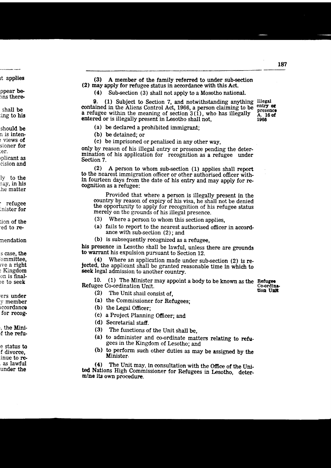$(3)$ A member of the family referred to under sub-section (2) may apply for refugee status in accordance with this Act.

 $(4)$ Sub-section (3) shall not apply to a Mosotho national.

9. (1) Subject to Section 7, and notwithstanding anything Illegal contained in the Aliens Control Act, 1966, a person claiming to be a refugee within the meaning of section  $3(1)$ , who has illegally entered or is illegally present in Lesotho shall not,

entry or presence A. 16 of 1966

(a) be declared a prohibited immigrant;

(b) be detained: or

(c) be imprisoned or penalised in any other way.

only by reason of his illegal entry or presence pending the determination of his application for recognition as a refugee under Section 7.

A person to whom sub-section (1) applies shall report  $(2)$ to the nearest immigration officer or other authorised officer within fourteen days from the date of his entry and may apply for recognition as a refugee:

Provided that where a person is illegally present in the country by reason of expiry of his visa, he shall not be denied the opportunity to apply for recognition of his refugee status merely on the grounds of his illegal presence.

- $(3)$ Where a person to whom this section applies.
- (a) fails to report to the nearest authorised officer in accordance with sub-section  $(2)$ ; and
- (b) is subsequently recognized as a refugee,

his presence in Lesotho shall be lawful, unless there are grounds to warrant his expulsion pursuant to Section 12.

 $(4)$ Where an application made under sub-section (2) is rejected, the applicant shall be granted reasonable time in which to seek legal admission to another country.

10. (1) The Minister may appoint a body to be known as the Refugee Refugee Co-ordination Unit. Co-ordination Unit

- $(2)$ The Unit shall consist of.
- (a) the Commissioner for Refugees;
- (b) the Legal Officer;
- (c) a Project Planning Officer; and
- (d) Secretarial staff.
- (3) The functions of the Unit shall be.
- (a) to administer and co-ordinate matters relating to refugees in the Kingdom of Lesotho; and
- (b) to perform such other duties as may be assigned by the Minister.

The Unit may, in consultation with the Office of the Uni- $(4)$ ted Nations High Commissioner for Refugees in Lesotho, determine its own procedure.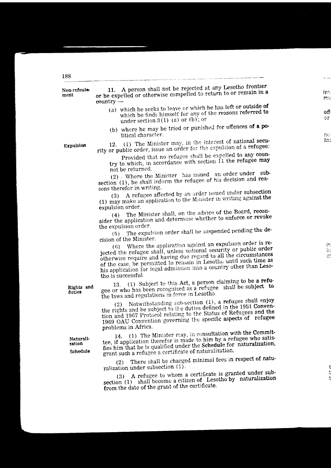# Non-refoule-

ment

11. A person shall not be rejected at any Lesotho frontier or be expelled or otherwise compelled to return to or remain in a  $countrv -$ 

- (a) which he seeks to leave or which he has left or outside of which he finds himself for any of the reasons referred to under section  $3(1)$  (a) or (b): or
- (b) where he may be tried or punished for offences of a political character.

Expulsion

(1) The Minister may, in the interest of national secu- $12.$ rity or public order, issue an order for the expulsion of a refugee:

Provided that no refugee shall be expelled to any country to which, in accordance with section 11 the refugee may not be returned.

(2) Where the Minister has issued an order under subsection (1), he shall inform the refugee of his decision and reasons therefor in writing.

A refugee affected by an order issued under subsection (1) may make an application to the Minister in writing against the  $(3)$ expulsion order.

The Minister shall, on the advice of the Board, reconsider the application and determine whether to enforce or revoke  $(4)$ the expulsion order.

The expulsion order shall be suspended pending the de- $(5)$ cision of the Minister.

Where the application against an expulsion order is re- $(6)$ jected the refugee shall, unless national security or public order otherwise require and having due regard to all the circumstances of the case, be permitted to remain in Lesotho until such time as his application for legal admission into a country other than Lesotho is successful.

13. (1) Subject to this Act, a person claiming to be a refugee or who has been recognised as a refugee shall be subject to the laws and regulations in force in Lesotho.

Notwithstanding sub-section (1), a refugee shall enjoy the rights and be subject to the duties defined in the 1951 Conven- $(2)$ tion and 1967 Protocol relating to the Status of Refugees and the 1969 OAU Convention governing the specific aspects of refugee problems in Africa.

(1) The Minister may, in consultation with the Commit-14. tee, if application therefor is made to him by a refugee who satisfies him that he is qualified under the Schedule for naturalization, grant such a refugee a certificate of naturalization.

There shall be charged minimal fees in respect of natu- $(2)$ ralization under subsection  $(1)$ .

(3) A refugee to whom a certificate is granted under subshall become a citizen of Lesotho by naturalization section  $(1)$ from the date of the grant of the certificate.

Rights and duties

Naturalization

Schedule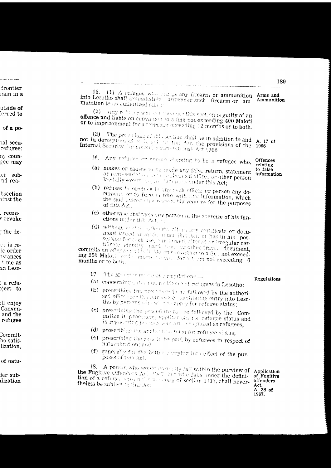15. (1) A refugee who beings any firearm or ammunition Arms and Into Lesotho shall immediately surrender such firearm or am-Ammunition munition to an authorized officer.

(2) Any refugee who consease les this section is guilty of an offence and liable on conviction to a tine not exceeding 400 Maloti or to imprisonment for a term not exceeding 12 months or to both.

(3) The provisions of this section shall be in addition to and not in derogation of or in substantian for, the provisions of the A. 17 of Internal Security (Acras and Amenumitians) Act 1966. 1966

- 16. Any refugee or corsen claiming to be a refugee who, Offences
- relating (a) makes or causes to be made any false return, statement to false or representation to a suderived officer or other person lawfully every and be further under this Act;
- (b) refuses to renduce to any such efficer or person any document, or to furn it him with any information, which the said officer may reasonably require for the purposes of this Act:
- (c) otherwise obstructs any person in the exercise of his functions under this Action
- (d) without reached patholity, alternary certificate or document issued or made ander this Act, or has in his possession for such use, any forged, altered or irregular cer-

tificate, identity card has a set manuscular require commits an offence and is hable on conviction to a fit, not exceeding 200 Maloti or to improve theme for a term not exceeding 6 months or to be the

- The Musician man make regulations ......  $17<sub>1</sub>$
- (a) concerning entry and residence of refugees in Lesotho;
- (b) prescribing the procedure to be followed by the authorised officer for this correse of facilitating entry into Lesothe by persons who wish to apply for refugee status;
- (c) prescribing the procedure to be followed by the Committee in processing epplications for refugee status and in registering persons who are precentized as refugees;
- (d) prescribing the application form for refugee status;
- (e) prescribing the fews to be paid by refugees in respect of haturalization: and
- (f) generally for the better carrying into effect of the purposes of this Act.

A person who would recordily fail within the purview of 18. the Fugitive Offenders Act. 1987 but who falls under the definition of a refugee with a the manage of section 3(1), shall nevertheless be subfect to this Act

Application of Fugitive offenders Act. A. 38 of 1967.

information

Regulations